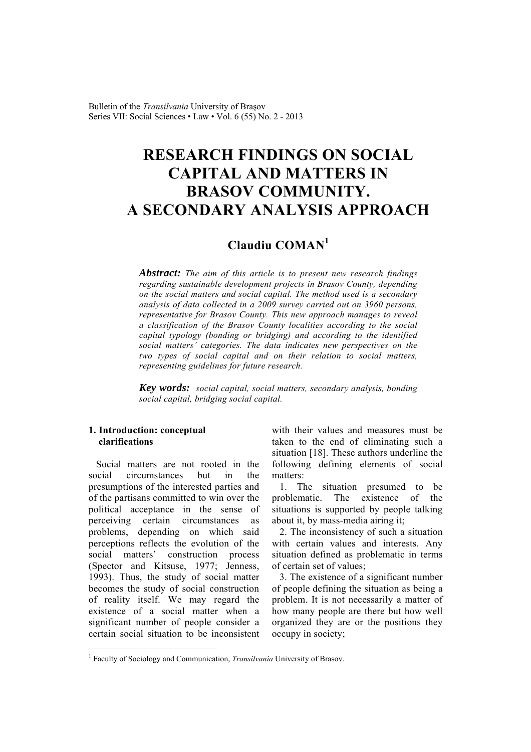Bulletin of the *Transilvania* University of Braşov Series VII: Social Sciences • Law • Vol. 6 (55) No. 2 - 2013

# **RESEARCH FINDINGS ON SOCIAL CAPITAL AND MATTERS IN BRASOV COMMUNITY. A SECONDARY ANALYSIS APPROACH**

# **Claudiu COMAN<sup>1</sup>**

*Abstract: The aim of this article is to present new research findings regarding sustainable development projects in Brasov County, depending on the social matters and social capital. The method used is a secondary analysis of data collected in a 2009 survey carried out on 3960 persons, representative for Brasov County. This new approach manages to reveal a classification of the Brasov County localities according to the social capital typology (bonding or bridging) and according to the identified social matters' categories. The data indicates new perspectives on the two types of social capital and on their relation to social matters, representing guidelines for future research.*

*Key words: social capital, social matters, secondary analysis, bonding social capital, bridging social capital.*

#### **1. Introduction: conceptual clarifications**

 $\overline{a}$ 

Social matters are not rooted in the social circumstances but in the presumptions of the interested parties and of the partisans committed to win over the political acceptance in the sense of perceiving certain circumstances as problems, depending on which said perceptions reflects the evolution of the social matters' construction process (Spector and Kitsuse, 1977; Jenness, 1993). Thus, the study of social matter becomes the study of social construction of reality itself. We may regard the existence of a social matter when a significant number of people consider a certain social situation to be inconsistent with their values and measures must be taken to the end of eliminating such a situation [18]. These authors underline the following defining elements of social matters:

1. The situation presumed to be problematic. The existence of the situations is supported by people talking about it, by mass-media airing it;

2. The inconsistency of such a situation with certain values and interests. Any situation defined as problematic in terms of certain set of values;

3. The existence of a significant number of people defining the situation as being a problem. It is not necessarily a matter of how many people are there but how well organized they are or the positions they occupy in society;

<sup>&</sup>lt;sup>1</sup> Faculty of Sociology and Communication, *Transilvania* University of Brasov.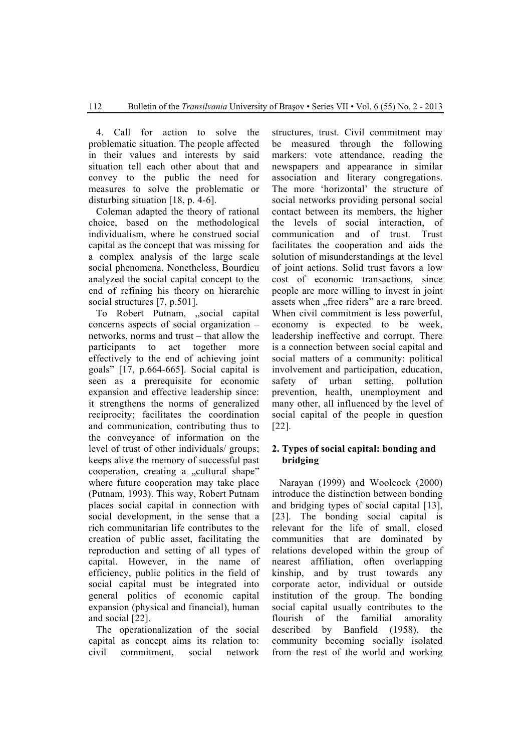4. Call for action to solve the problematic situation. The people affected in their values and interests by said situation tell each other about that and convey to the public the need for measures to solve the problematic or disturbing situation [18, p. 4-6].

Coleman adapted the theory of rational choice, based on the methodological individualism, where he construed social capital as the concept that was missing for a complex analysis of the large scale social phenomena. Nonetheless, Bourdieu analyzed the social capital concept to the end of refining his theory on hierarchic social structures [7, p.501].

To Robert Putnam, "social capital concerns aspects of social organization – networks, norms and trust – that allow the participants to act together more effectively to the end of achieving joint goals" [17, p.664-665]. Social capital is seen as a prerequisite for economic expansion and effective leadership since: it strengthens the norms of generalized reciprocity; facilitates the coordination and communication, contributing thus to the conveyance of information on the level of trust of other individuals/ groups; keeps alive the memory of successful past cooperation, creating a "cultural shape" where future cooperation may take place (Putnam, 1993). This way, Robert Putnam places social capital in connection with social development, in the sense that a rich communitarian life contributes to the creation of public asset, facilitating the reproduction and setting of all types of capital. However, in the name of efficiency, public politics in the field of social capital must be integrated into general politics of economic capital expansion (physical and financial), human and social [22].

The operationalization of the social capital as concept aims its relation to: civil commitment, social network structures, trust. Civil commitment may be measured through the following markers: vote attendance, reading the newspapers and appearance in similar association and literary congregations. The more 'horizontal' the structure of social networks providing personal social contact between its members, the higher the levels of social interaction, of communication and of trust. Trust facilitates the cooperation and aids the solution of misunderstandings at the level of joint actions. Solid trust favors a low cost of economic transactions, since people are more willing to invest in joint assets when "free riders" are a rare breed. When civil commitment is less powerful, economy is expected to be week, leadership ineffective and corrupt. There is a connection between social capital and social matters of a community: political involvement and participation, education, safety of urban setting, pollution prevention, health, unemployment and many other, all influenced by the level of social capital of the people in question [22].

### **2. Types of social capital: bonding and bridging**

Narayan (1999) and Woolcock (2000) introduce the distinction between bonding and bridging types of social capital [13], [23]. The bonding social capital is relevant for the life of small, closed communities that are dominated by relations developed within the group of nearest affiliation, often overlapping kinship, and by trust towards any corporate actor, individual or outside institution of the group. The bonding social capital usually contributes to the flourish of the familial amorality described by Banfield (1958), the community becoming socially isolated from the rest of the world and working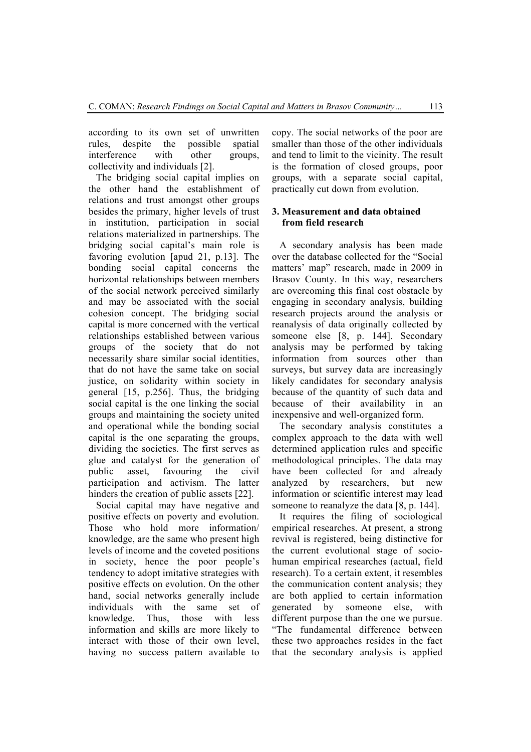according to its own set of unwritten rules, despite the possible spatial interference with other groups, collectivity and individuals [2].

The bridging social capital implies on the other hand the establishment of relations and trust amongst other groups besides the primary, higher levels of trust in institution, participation in social relations materialized in partnerships. The bridging social capital's main role is favoring evolution [apud 21, p.13]. The bonding social capital concerns the horizontal relationships between members of the social network perceived similarly and may be associated with the social cohesion concept. The bridging social capital is more concerned with the vertical relationships established between various groups of the society that do not necessarily share similar social identities, that do not have the same take on social justice, on solidarity within society in general [15, p.256]. Thus, the bridging social capital is the one linking the social groups and maintaining the society united and operational while the bonding social capital is the one separating the groups, dividing the societies. The first serves as glue and catalyst for the generation of public asset, favouring the civil participation and activism. The latter hinders the creation of public assets [22].

Social capital may have negative and positive effects on poverty and evolution. Those who hold more information/ knowledge, are the same who present high levels of income and the coveted positions in society, hence the poor people's tendency to adopt imitative strategies with positive effects on evolution. On the other hand, social networks generally include individuals with the same set of knowledge. Thus, those with less information and skills are more likely to interact with those of their own level, having no success pattern available to

copy. The social networks of the poor are smaller than those of the other individuals and tend to limit to the vicinity. The result is the formation of closed groups, poor groups, with a separate social capital, practically cut down from evolution.

#### **3. Measurement and data obtained from field research**

A secondary analysis has been made over the database collected for the "Social matters' map" research, made in 2009 in Brasov County. In this way, researchers are overcoming this final cost obstacle by engaging in secondary analysis, building research projects around the analysis or reanalysis of data originally collected by someone else [8, p. 144]. Secondary analysis may be performed by taking information from sources other than surveys, but survey data are increasingly likely candidates for secondary analysis because of the quantity of such data and because of their availability in an inexpensive and well-organized form.

The secondary analysis constitutes a complex approach to the data with well determined application rules and specific methodological principles. The data may have been collected for and already analyzed by researchers, but new information or scientific interest may lead someone to reanalyze the data [8, p. 144].

It requires the filing of sociological empirical researches. At present, a strong revival is registered, being distinctive for the current evolutional stage of sociohuman empirical researches (actual, field research). To a certain extent, it resembles the communication content analysis; they are both applied to certain information generated by someone else, with different purpose than the one we pursue. "The fundamental difference between these two approaches resides in the fact that the secondary analysis is applied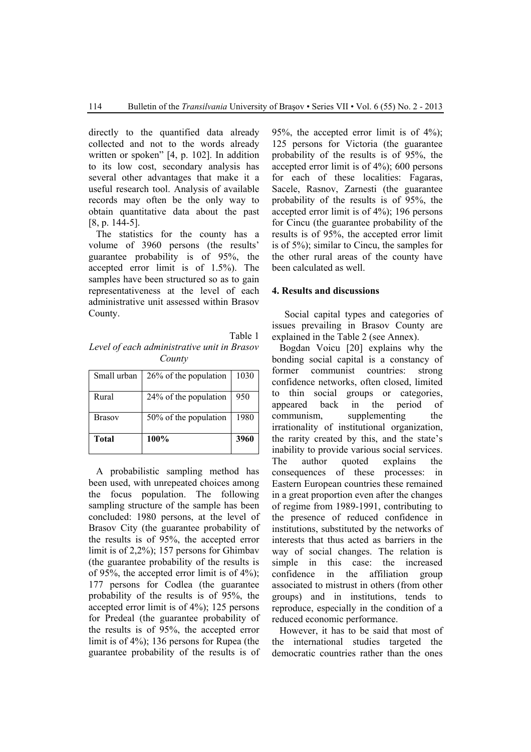directly to the quantified data already collected and not to the words already written or spoken" [4, p. 102]. In addition to its low cost, secondary analysis has several other advantages that make it a useful research tool. Analysis of available records may often be the only way to obtain quantitative data about the past [8, p. 144-5].

The statistics for the county has a volume of 3960 persons (the results' guarantee probability is of 95%, the accepted error limit is of 1.5%). The samples have been structured so as to gain representativeness at the level of each administrative unit assessed within Brasov County.

| Table 1                                     |
|---------------------------------------------|
| Level of each administrative unit in Brasov |
| County                                      |

| Small urban   | 26% of the population | 1030 |
|---------------|-----------------------|------|
| Rural         | 24% of the population | 950  |
| <b>Brasov</b> | 50% of the population | 1980 |
| Total         | 100%                  | 3960 |

A probabilistic sampling method has been used, with unrepeated choices among the focus population. The following sampling structure of the sample has been concluded: 1980 persons, at the level of Brasov City (the guarantee probability of the results is of 95%, the accepted error limit is of 2,2%); 157 persons for Ghimbav (the guarantee probability of the results is of 95%, the accepted error limit is of 4%); 177 persons for Codlea (the guarantee probability of the results is of 95%, the accepted error limit is of 4%); 125 persons for Predeal (the guarantee probability of the results is of 95%, the accepted error limit is of 4%); 136 persons for Rupea (the guarantee probability of the results is of

95%, the accepted error limit is of  $4\%$ ; 125 persons for Victoria (the guarantee probability of the results is of 95%, the accepted error limit is of 4%); 600 persons for each of these localities: Fagaras, Sacele, Rasnov, Zarnesti (the guarantee probability of the results is of 95%, the accepted error limit is of 4%); 196 persons for Cincu (the guarantee probability of the results is of 95%, the accepted error limit is of 5%); similar to Cincu, the samples for the other rural areas of the county have been calculated as well.

#### **4. Results and discussions**

 Social capital types and categories of issues prevailing in Brasov County are explained in the Table 2 (see Annex).

 Bogdan Voicu [20] explains why the bonding social capital is a constancy of former communist countries: strong confidence networks, often closed, limited to thin social groups or categories, appeared back in the period of communism, supplementing the irrationality of institutional organization, the rarity created by this, and the state's inability to provide various social services. The author quoted explains the consequences of these processes: in Eastern European countries these remained in a great proportion even after the changes of regime from 1989-1991, contributing to the presence of reduced confidence in institutions, substituted by the networks of interests that thus acted as barriers in the way of social changes. The relation is simple in this case: the increased confidence in the affiliation group associated to mistrust in others (from other groups) and in institutions, tends to reproduce, especially in the condition of a reduced economic performance.

 However, it has to be said that most of the international studies targeted the democratic countries rather than the ones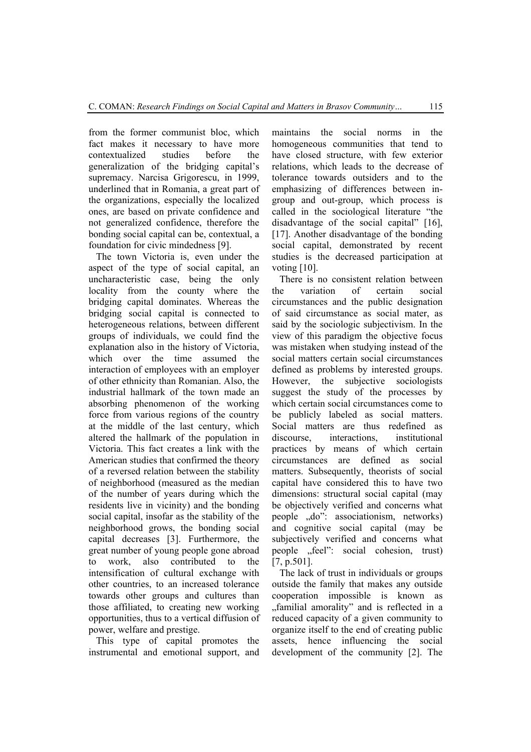from the former communist bloc, which fact makes it necessary to have more contextualized studies before the generalization of the bridging capital's supremacy. Narcisa Grigorescu, in 1999, underlined that in Romania, a great part of the organizations, especially the localized ones, are based on private confidence and not generalized confidence, therefore the bonding social capital can be, contextual, a foundation for civic mindedness [9].

 The town Victoria is, even under the aspect of the type of social capital, an uncharacteristic case, being the only locality from the county where the bridging capital dominates. Whereas the bridging social capital is connected to heterogeneous relations, between different groups of individuals, we could find the explanation also in the history of Victoria, which over the time assumed the interaction of employees with an employer of other ethnicity than Romanian. Also, the industrial hallmark of the town made an absorbing phenomenon of the working force from various regions of the country at the middle of the last century, which altered the hallmark of the population in Victoria. This fact creates a link with the American studies that confirmed the theory of a reversed relation between the stability of neighborhood (measured as the median of the number of years during which the residents live in vicinity) and the bonding social capital, insofar as the stability of the neighborhood grows, the bonding social capital decreases [3]. Furthermore, the great number of young people gone abroad to work, also contributed to the intensification of cultural exchange with other countries, to an increased tolerance towards other groups and cultures than those affiliated, to creating new working opportunities, thus to a vertical diffusion of power, welfare and prestige.

 This type of capital promotes the instrumental and emotional support, and

maintains the social norms in the homogeneous communities that tend to have closed structure, with few exterior relations, which leads to the decrease of tolerance towards outsiders and to the emphasizing of differences between ingroup and out-group, which process is called in the sociological literature "the disadvantage of the social capital" [16], [17]. Another disadvantage of the bonding social capital, demonstrated by recent studies is the decreased participation at voting [10].

 There is no consistent relation between the variation of certain social circumstances and the public designation of said circumstance as social mater, as said by the sociologic subjectivism. In the view of this paradigm the objective focus was mistaken when studying instead of the social matters certain social circumstances defined as problems by interested groups. However, the subjective sociologists suggest the study of the processes by which certain social circumstances come to be publicly labeled as social matters. Social matters are thus redefined as discourse, interactions, institutional practices by means of which certain circumstances are defined as social matters. Subsequently, theorists of social capital have considered this to have two dimensions: structural social capital (may be objectively verified and concerns what people "do": associationism, networks) and cognitive social capital (may be subjectively verified and concerns what people "feel": social cohesion, trust) [7, p.501].

 The lack of trust in individuals or groups outside the family that makes any outside cooperation impossible is known as "familial amorality" and is reflected in a reduced capacity of a given community to organize itself to the end of creating public assets, hence influencing the social development of the community [2]. The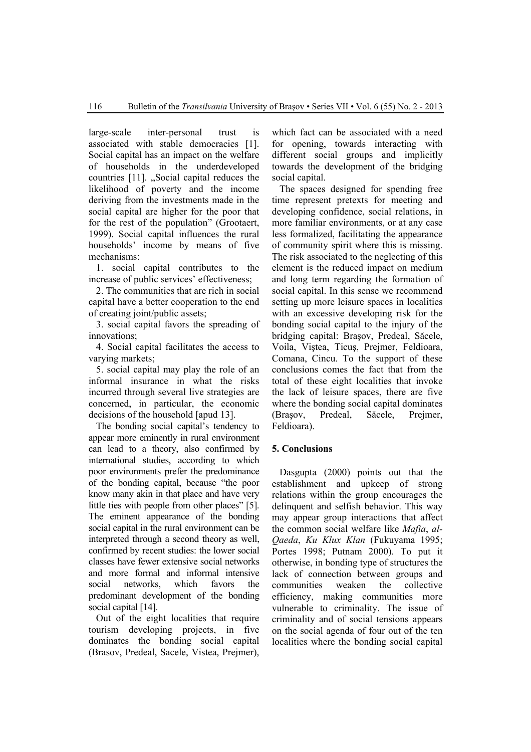large-scale inter-personal trust is associated with stable democracies [1]. Social capital has an impact on the welfare of households in the underdeveloped countries [11]. "Social capital reduces the likelihood of poverty and the income deriving from the investments made in the social capital are higher for the poor that for the rest of the population" (Grootaert, 1999). Social capital influences the rural households' income by means of five mechanisms:

 1. social capital contributes to the increase of public services' effectiveness;

 2. The communities that are rich in social capital have a better cooperation to the end of creating joint/public assets;

 3. social capital favors the spreading of innovations;

 4. Social capital facilitates the access to varying markets;

 5. social capital may play the role of an informal insurance in what the risks incurred through several live strategies are concerned, in particular, the economic decisions of the household [apud 13].

 The bonding social capital's tendency to appear more eminently in rural environment can lead to a theory, also confirmed by international studies, according to which poor environments prefer the predominance of the bonding capital, because "the poor know many akin in that place and have very little ties with people from other places" [5]. The eminent appearance of the bonding social capital in the rural environment can be interpreted through a second theory as well, confirmed by recent studies: the lower social classes have fewer extensive social networks and more formal and informal intensive social networks which favors the predominant development of the bonding social capital [14].

 Out of the eight localities that require tourism developing projects, in five dominates the bonding social capital (Brasov, Predeal, Sacele, Vistea, Prejmer),

which fact can be associated with a need for opening, towards interacting with different social groups and implicitly towards the development of the bridging social capital.

 The spaces designed for spending free time represent pretexts for meeting and developing confidence, social relations, in more familiar environments, or at any case less formalized, facilitating the appearance of community spirit where this is missing. The risk associated to the neglecting of this element is the reduced impact on medium and long term regarding the formation of social capital. In this sense we recommend setting up more leisure spaces in localities with an excessive developing risk for the bonding social capital to the injury of the bridging capital: Braşov, Predeal, Săcele, Voila, Viştea, Ticuş, Prejmer, Feldioara, Comana, Cincu. To the support of these conclusions comes the fact that from the total of these eight localities that invoke the lack of leisure spaces, there are five where the bonding social capital dominates (Braşov, Predeal, Săcele, Prejmer, Feldioara).

#### **5. Conclusions**

 Dasgupta (2000) points out that the establishment and upkeep of strong relations within the group encourages the delinquent and selfish behavior. This way may appear group interactions that affect the common social welfare like *Mafia*, *al-Qaeda*, *Ku Klux Klan* (Fukuyama 1995; Portes 1998; Putnam 2000). To put it otherwise, in bonding type of structures the lack of connection between groups and communities weaken the collective efficiency, making communities more vulnerable to criminality. The issue of criminality and of social tensions appears on the social agenda of four out of the ten localities where the bonding social capital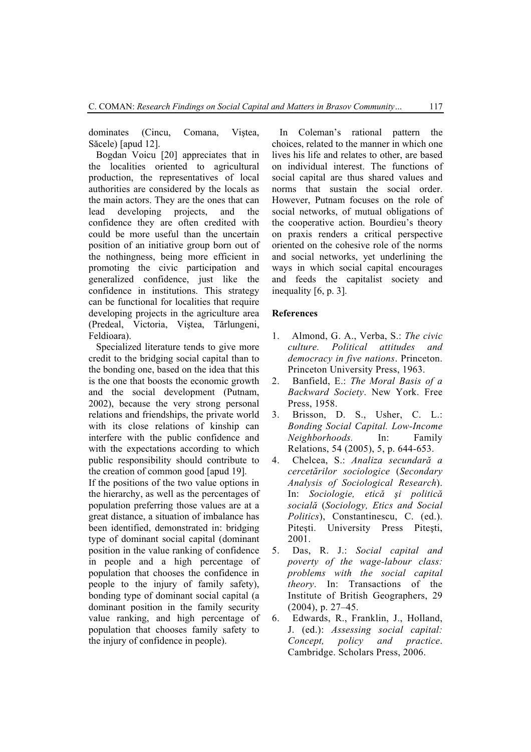dominates (Cincu, Comana, Viştea, Săcele) [apud 12].

 Bogdan Voicu [20] appreciates that in the localities oriented to agricultural production, the representatives of local authorities are considered by the locals as the main actors. They are the ones that can lead developing projects, and the confidence they are often credited with could be more useful than the uncertain position of an initiative group born out of the nothingness, being more efficient in promoting the civic participation and generalized confidence, just like the confidence in institutions. This strategy can be functional for localities that require developing projects in the agriculture area (Predeal, Victoria, Viştea, Tărlungeni, Feldioara).

 Specialized literature tends to give more credit to the bridging social capital than to the bonding one, based on the idea that this is the one that boosts the economic growth and the social development (Putnam, 2002), because the very strong personal relations and friendships, the private world with its close relations of kinship can interfere with the public confidence and with the expectations according to which public responsibility should contribute to the creation of common good [apud 19].

If the positions of the two value options in the hierarchy, as well as the percentages of population preferring those values are at a great distance, a situation of imbalance has been identified, demonstrated in: bridging type of dominant social capital (dominant position in the value ranking of confidence in people and a high percentage of population that chooses the confidence in people to the injury of family safety), bonding type of dominant social capital (a dominant position in the family security value ranking, and high percentage of population that chooses family safety to the injury of confidence in people).

 In Coleman's rational pattern the choices, related to the manner in which one lives his life and relates to other, are based on individual interest. The functions of social capital are thus shared values and norms that sustain the social order. However, Putnam focuses on the role of social networks, of mutual obligations of the cooperative action. Bourdieu's theory on praxis renders a critical perspective oriented on the cohesive role of the norms and social networks, yet underlining the ways in which social capital encourages and feeds the capitalist society and inequality [6, p. 3].

#### **References**

- 1. Almond, G. A., Verba, S.: *The civic culture. Political attitudes and democracy in five nations*. Princeton. Princeton University Press, 1963.
- 2. Banfield, E.: *The Moral Basis of a Backward Society*. New York. Free Press, 1958.
- 3. Brisson, D. S., Usher, C. L.: *Bonding Social Capital. Low-Income Neighborhoods.* In: Family Relations, 54 (2005), 5, p. 644-653.
- 4. Chelcea, S.: *Analiza secundară a cercetărilor sociologice* (*Secondary Analysis of Sociological Research*). In: *Sociologie, etică şi politică socială* (*Sociology, Etics and Social Politics*), Constantinescu, C. (ed.). Piteşti. University Press Piteşti, 2001.
- 5. Das, R. J.: *Social capital and poverty of the wage-labour class: problems with the social capital theory*. In: Transactions of the Institute of British Geographers, 29 (2004), p. 27–45.
- 6. Edwards, R., Franklin, J., Holland, J. (ed.): *Assessing social capital: Concept, policy and practice*. Cambridge. Scholars Press, 2006.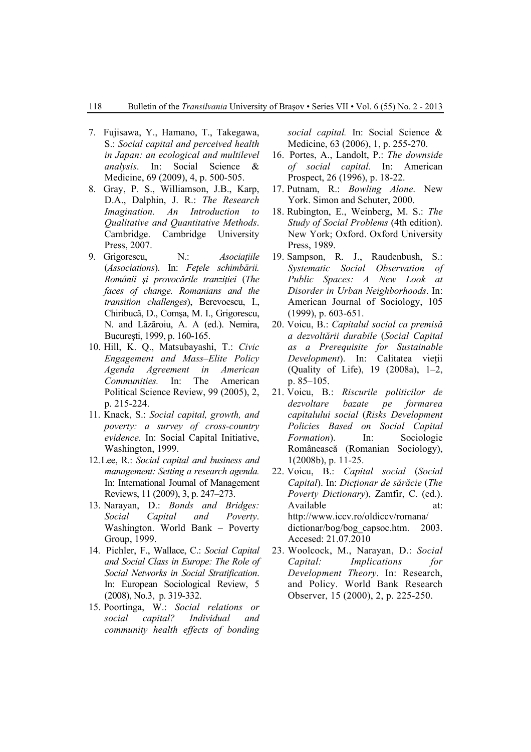- 7. Fujisawa, Y., Hamano, T., Takegawa, S.: *Social capital and perceived health in Japan: an ecological and multilevel analysis*. In: Social Science & Medicine, 69 (2009), 4, p. 500-505.
- 8. Gray, P. S., Williamson, J.B., Karp, D.A., Dalphin, J. R.: *The Research Imagination. An Introduction to Qualitative and Quantitative Methods*. Cambridge. Cambridge University Press, 2007.
- 9. Grigorescu, N.: *Asociaţiile*  (*Associations*). In: *Feţele schimbării. Românii şi provocările tranziţiei* (*The faces of change. Romanians and the transition challenges*), Berevoescu, I., Chiribucă, D., Comşa, M. I., Grigorescu, N. and Lăzăroiu, A. A (ed.). Nemira, Bucureşti, 1999, p. 160-165.
- 10. Hill, K. Q., Matsubayashi, T.: *Civic Engagement and Mass–Elite Policy Agenda Agreement in American Communities.* In: The American Political Science Review, 99 (2005), 2, p. 215-224.
- 11. Knack, S.: *Social capital, growth, and poverty: a survey of cross-country evidence.* In: Social Capital Initiative, Washington, 1999.
- 12.Lee, R.: *Social capital and business and management: Setting a research agenda.*  In: International Journal of Management Reviews, 11 (2009), 3, p. 247–273.
- 13. Narayan, D.: *Bonds and Bridges: Social Capital and Poverty*. Washington. World Bank – Poverty Group, 1999.
- 14. Pichler, F., Wallace, C.: *Social Capital and Social Class in Europe: The Role of Social Networks in Social Stratification*. In: European Sociological Review, 5 (2008), No.3, p. 319-332.
- 15. Poortinga, W.: *Social relations or social capital? Individual and community health effects of bonding*

*social capital.* In: Social Science & Medicine, 63 (2006), 1, p. 255-270.

- 16. Portes, A., Landolt, P.: *The downside of social capital.* In: American Prospect, 26 (1996), p. 18-22.
- 17. Putnam, R.: *Bowling Alone*. New York. Simon and Schuter, 2000.
- 18. Rubington, E., Weinberg, M. S.: *The Study of Social Problems* (4th edition). New York; Oxford. Oxford University Press, 1989.
- 19. Sampson, R. J., Raudenbush, S.: *Systematic Social Observation of Public Spaces: A New Look at Disorder in Urban Neighborhoods*. In: American Journal of Sociology, 105 (1999), p. 603-651.
- 20. Voicu, B.: *Capitalul social ca premisă a dezvoltării durabile* (*Social Capital as a Prerequisite for Sustainable Development*). In: Calitatea vietii (Quality of Life), 19 (2008a), 1–2, p. 85–105.
- 21. Voicu, B.: *Riscurile politicilor de dezvoltare bazate pe formarea capitalului social* (*Risks Development Policies Based on Social Capital Formation*). In: Sociologie Românească (Romanian Sociology), 1(2008b), p. 11-25.
- 22. Voicu, B.: *Capital social* (*Social Capital*). In: *Dicţionar de sărăcie* (*The Poverty Dictionary*), Zamfir, C. (ed.). Available at: http://www.iccv.ro/oldiccv/romana/ dictionar/bog/bog\_capsoc.htm. 2003. Accesed: 21.07.2010
- 23. Woolcock, M., Narayan, D.: *Social Capital: Implications for Development Theory*. In: Research, and Policy. World Bank Research Observer, 15 (2000), 2, p. 225-250.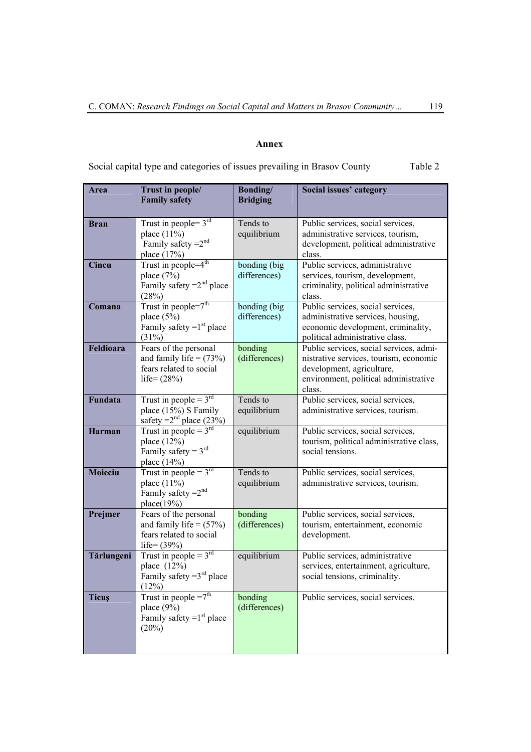## **Annex**

Social capital type and categories of issues prevailing in Brasov County Table 2

| Area             | Trust in people/<br><b>Family safety</b>                                                       | <b>Bonding/</b><br><b>Bridging</b> | Social issues' category                                                                                                                                           |
|------------------|------------------------------------------------------------------------------------------------|------------------------------------|-------------------------------------------------------------------------------------------------------------------------------------------------------------------|
|                  |                                                                                                |                                    |                                                                                                                                                                   |
| <b>Bran</b>      | Trust in people= $3^{rd}$<br>place $(11\%)$<br>Family safety $=2^{nd}$<br>place (17%)          | Tends to<br>equilibrium            | Public services, social services,<br>administrative services, tourism,<br>development, political administrative<br>class.                                         |
| Cincu            | Trust in people=4 <sup>th</sup><br>place $(7%)$<br>Family safety $=2^{nd}$ place<br>(28%)      | bonding (big<br>differences)       | Public services, administrative<br>services, tourism, development,<br>criminality, political administrative<br>class.                                             |
| Comana           | Trust in people= $7th$<br>place $(5%)$<br>Family safety $=1^{st}$ place<br>(31%)               | bonding (big<br>differences)       | Public services, social services,<br>administrative services, housing,<br>economic development, criminality,<br>political administrative class.                   |
| <b>Feldioara</b> | Fears of the personal<br>and family life = $(73%)$<br>fears related to social<br>life= $(28%)$ | bonding<br>(differences)           | Public services, social services, admi-<br>nistrative services, tourism, economic<br>development, agriculture,<br>environment, political administrative<br>class. |
| Fundata          | Trust in people = $3rd$<br>place (15%) S Family<br>safety = $2nd$ place (23%)                  | Tends to<br>equilibrium            | Public services, social services,<br>administrative services, tourism.                                                                                            |
| Harman           | Trust in people = $3^{\text{rd}}$<br>place $(12\%)$<br>Family safety = $3rd$<br>place $(14%)$  | equilibrium                        | Public services, social services,<br>tourism, political administrative class,<br>social tensions.                                                                 |
| <b>Moieciu</b>   | Trust in people = $3^{rd}$<br>place $(11\%)$<br>Family safety $=2^{nd}$<br>place(19%)          | Tends to<br>equilibrium            | Public services, social services,<br>administrative services, tourism.                                                                                            |
| Prejmer          | Fears of the personal<br>and family life = $(57%)$<br>fears related to social<br>life= $(39%)$ | bonding<br>(differences)           | Public services, social services,<br>tourism, entertainment, economic<br>development.                                                                             |
| Tărlungeni       | Trust in people = $3^{rd}$<br>place $(12%)$<br>Family safety $=3^{\text{rd}}$ place<br>(12%)   | equilibrium                        | Public services, administrative<br>services, entertainment, agriculture,<br>social tensions, criminality.                                                         |
| <b>Ticus</b>     | Trust in people $=7^{th}$<br>place $(9\%)$<br>Family safety $=1$ <sup>st</sup> place<br>(20%)  | bonding<br>(differences)           | Public services, social services.                                                                                                                                 |